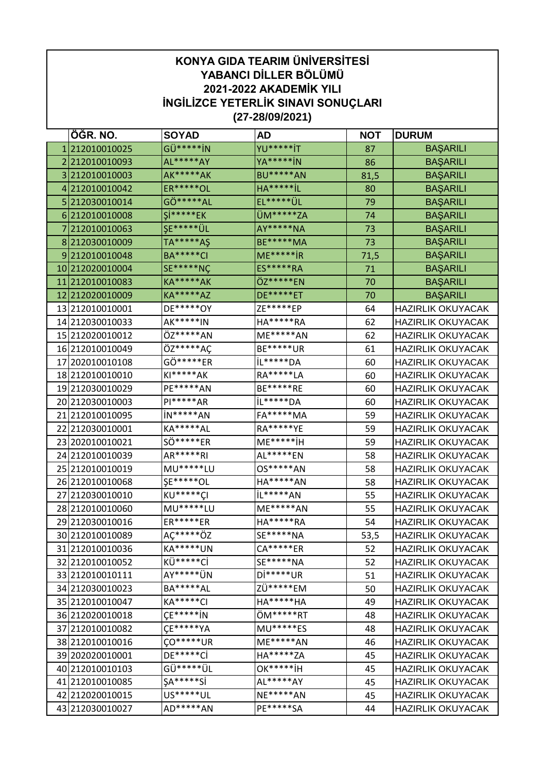| ÖĞR. NO.<br><b>SOYAD</b><br><b>AD</b><br><b>NOT</b><br><b>DURUM</b><br>GÜ*****iN<br><b>YU*****iT</b><br>212010010025<br><b>BAŞARILI</b><br>87<br>1<br>AL*****AY<br>YA****** jN<br>2212010010093<br><b>BAŞARILI</b><br>86<br><b>AK*****</b> AK<br><b>BU*****AN</b><br>3212010010003<br>81,5<br><b>BAŞARILI</b><br>HA*****iL<br><b>ER*****OL</b><br>4 212010010042<br>80<br><b>BAŞARILI</b><br>EL***** ÜL<br>GÖ*****AL<br>5 212030010014<br>79<br><b>BAŞARILI</b><br>$Si****EK$<br>ÜM*****ZA<br>6 212010010008<br><b>BAŞARILI</b><br>74<br><b>ŞE***** ÜL</b><br>AY*****NA<br>7 212010010063<br>73<br><b>BAŞARILI</b><br>TA*****AŞ<br><b>BE*****MA</b><br>8 212030010009<br>73<br><b>BAŞARILI</b><br><b>BA*****CI</b><br>$ME****IR$<br>9212010010048<br><b>BAŞARILI</b><br>71,5<br><b>SE*****NÇ</b><br><b>ES*****RA</b><br>10 212020010004<br><b>BAŞARILI</b><br>71<br>ÖZ*****EN<br>212010010083<br><b>KA*****</b> AK<br>11<br>70<br><b>BAŞARILI</b><br><b>KA*****AZ</b><br><b>DE*****ET</b><br>12 212020010009<br>70<br><b>BAŞARILI</b><br>DE*****OY<br>ZE*****EP<br>13 212010010001<br><b>HAZIRLIK OKUYACAK</b><br>64<br>14 212030010033<br>AK*****IN<br>HA*****RA<br><b>HAZIRLIK OKUYACAK</b><br>62<br>ÖZ*****AN<br>ME*****AN<br><b>HAZIRLIK OKUYACAK</b><br>15 212020010012<br>62<br>ÖZ*****AÇ<br><b>BE*****UR</b><br>16 212010010049<br><b>HAZIRLIK OKUYACAK</b><br>61<br>GÖ*****ER<br>IL*****DA<br>17 202010010108<br>60<br><b>HAZIRLIK OKUYACAK</b><br>$KI****AK$<br>RA*****LA<br>18 212010010010<br><b>HAZIRLIK OKUYACAK</b><br>60<br>PE*****AN<br>BE*****RE<br>19 212030010029<br><b>HAZIRLIK OKUYACAK</b><br>60<br>$PI****AR$<br>IL*****DA<br>20 212030010003<br><b>HAZIRLIK OKUYACAK</b><br>60<br>21<br>in*****AN<br><b>FA*****MA</b><br>212010010095<br>59<br><b>HAZIRLIK OKUYACAK</b><br>KA*****AL<br>RA*****YE<br>22 212030010001<br><b>HAZIRLIK OKUYACAK</b><br>59<br>$ME****iH$<br>SÖ*****ER<br>23 202010010021<br><b>HAZIRLIK OKUYACAK</b><br>59<br>AR*****RI<br>AL*****EN<br>24 212010010039<br><b>HAZIRLIK OKUYACAK</b><br>58<br>25 212010010019<br>MU******LU<br>OS*****AN<br><b>HAZIRLIK OKUYACAK</b><br>58<br><b>ŞE*****OL</b><br>26 212010010068<br>HA*****AN<br><b>HAZIRLIK OKUYACAK</b><br>58<br>KU*****CI<br>iL*****AN<br>27 212030010010<br>55<br><b>HAZIRLIK OKUYACAK</b><br>MU*****LU<br>ME*****AN<br>28 212010010060<br>55<br><b>HAZIRLIK OKUYACAK</b><br>ER*****ER<br>HA*****RA<br>29 212030010016<br>54<br><b>HAZIRLIK OKUYACAK</b><br>AÇ*****ÖZ<br>SE*****NA<br>30 212010010089<br><b>HAZIRLIK OKUYACAK</b><br>53,5<br><b>KA*****UN</b><br>CA*****ER<br><b>HAZIRLIK OKUYACAK</b><br>31 212010010036<br>52<br>KÜ******Cİ<br>SE*****NA<br>32 212010010052<br>52<br><b>HAZIRLIK OKUYACAK</b><br>AY***** UN<br>Di*****UR<br>33 212010010111<br><b>HAZIRLIK OKUYACAK</b><br>51<br>BA*****AL<br>ZÜ*****EM<br>34 212030010023<br><b>HAZIRLIK OKUYACAK</b><br>50<br>KA*****CI<br>HA*****HA<br>35 212010010047<br><b>HAZIRLIK OKUYACAK</b><br>49<br>$CF****iN$<br>ÖM*****RT<br><b>HAZIRLIK OKUYACAK</b><br>36 2120 200 100 18<br>48<br>CE*****YA<br>MU*****ES<br>37 212010010082<br><b>HAZIRLIK OKUYACAK</b><br>48<br><b>CO*****UR</b><br>ME*****AN<br>38 212010010016<br><b>HAZIRLIK OKUYACAK</b><br>46<br>HA*****ZA<br>DE*****Cİ<br>39 202020010001<br>45<br><b>HAZIRLIK OKUYACAK</b><br>GÜ*****ÜL<br><b>OK*****iH</b><br>40 212010010103<br><b>HAZIRLIK OKUYACAK</b><br>45<br>$SA****Si$<br>AL*****AY<br>41 212010010085<br><b>HAZIRLIK OKUYACAK</b><br>45<br>US*****UL<br>NE*****AN<br>42 212020010015<br><b>HAZIRLIK OKUYACAK</b><br>45<br>AD*****AN<br>PE*****SA<br>HAZIRLIK OKUYACAK<br>43 212030010027<br>44 | <b>KONYA GIDA TEARIM ÜNİVERSİTESİ</b><br>YABANCI DİLLER BÖLÜMÜ<br><b>2021-2022 AKADEMİK YILI</b><br><b>INGILIZCE YETERLIK SINAVI SONUÇLARI</b><br>$(27 - 28/09/2021)$ |  |  |  |  |  |  |
|-------------------------------------------------------------------------------------------------------------------------------------------------------------------------------------------------------------------------------------------------------------------------------------------------------------------------------------------------------------------------------------------------------------------------------------------------------------------------------------------------------------------------------------------------------------------------------------------------------------------------------------------------------------------------------------------------------------------------------------------------------------------------------------------------------------------------------------------------------------------------------------------------------------------------------------------------------------------------------------------------------------------------------------------------------------------------------------------------------------------------------------------------------------------------------------------------------------------------------------------------------------------------------------------------------------------------------------------------------------------------------------------------------------------------------------------------------------------------------------------------------------------------------------------------------------------------------------------------------------------------------------------------------------------------------------------------------------------------------------------------------------------------------------------------------------------------------------------------------------------------------------------------------------------------------------------------------------------------------------------------------------------------------------------------------------------------------------------------------------------------------------------------------------------------------------------------------------------------------------------------------------------------------------------------------------------------------------------------------------------------------------------------------------------------------------------------------------------------------------------------------------------------------------------------------------------------------------------------------------------------------------------------------------------------------------------------------------------------------------------------------------------------------------------------------------------------------------------------------------------------------------------------------------------------------------------------------------------------------------------------------------------------------------------------------------------------------------------------------------------------------------------------------------------------------------------------------------------------------------------------------------------------------------------------------------------------------------------------------------------------------------------------------------------------------------------------------------------------------------------------------------------------------------------------------------------------------------------------------------------------------------------|-----------------------------------------------------------------------------------------------------------------------------------------------------------------------|--|--|--|--|--|--|
|                                                                                                                                                                                                                                                                                                                                                                                                                                                                                                                                                                                                                                                                                                                                                                                                                                                                                                                                                                                                                                                                                                                                                                                                                                                                                                                                                                                                                                                                                                                                                                                                                                                                                                                                                                                                                                                                                                                                                                                                                                                                                                                                                                                                                                                                                                                                                                                                                                                                                                                                                                                                                                                                                                                                                                                                                                                                                                                                                                                                                                                                                                                                                                                                                                                                                                                                                                                                                                                                                                                                                                                                                                           |                                                                                                                                                                       |  |  |  |  |  |  |
|                                                                                                                                                                                                                                                                                                                                                                                                                                                                                                                                                                                                                                                                                                                                                                                                                                                                                                                                                                                                                                                                                                                                                                                                                                                                                                                                                                                                                                                                                                                                                                                                                                                                                                                                                                                                                                                                                                                                                                                                                                                                                                                                                                                                                                                                                                                                                                                                                                                                                                                                                                                                                                                                                                                                                                                                                                                                                                                                                                                                                                                                                                                                                                                                                                                                                                                                                                                                                                                                                                                                                                                                                                           |                                                                                                                                                                       |  |  |  |  |  |  |
|                                                                                                                                                                                                                                                                                                                                                                                                                                                                                                                                                                                                                                                                                                                                                                                                                                                                                                                                                                                                                                                                                                                                                                                                                                                                                                                                                                                                                                                                                                                                                                                                                                                                                                                                                                                                                                                                                                                                                                                                                                                                                                                                                                                                                                                                                                                                                                                                                                                                                                                                                                                                                                                                                                                                                                                                                                                                                                                                                                                                                                                                                                                                                                                                                                                                                                                                                                                                                                                                                                                                                                                                                                           |                                                                                                                                                                       |  |  |  |  |  |  |
|                                                                                                                                                                                                                                                                                                                                                                                                                                                                                                                                                                                                                                                                                                                                                                                                                                                                                                                                                                                                                                                                                                                                                                                                                                                                                                                                                                                                                                                                                                                                                                                                                                                                                                                                                                                                                                                                                                                                                                                                                                                                                                                                                                                                                                                                                                                                                                                                                                                                                                                                                                                                                                                                                                                                                                                                                                                                                                                                                                                                                                                                                                                                                                                                                                                                                                                                                                                                                                                                                                                                                                                                                                           |                                                                                                                                                                       |  |  |  |  |  |  |
|                                                                                                                                                                                                                                                                                                                                                                                                                                                                                                                                                                                                                                                                                                                                                                                                                                                                                                                                                                                                                                                                                                                                                                                                                                                                                                                                                                                                                                                                                                                                                                                                                                                                                                                                                                                                                                                                                                                                                                                                                                                                                                                                                                                                                                                                                                                                                                                                                                                                                                                                                                                                                                                                                                                                                                                                                                                                                                                                                                                                                                                                                                                                                                                                                                                                                                                                                                                                                                                                                                                                                                                                                                           |                                                                                                                                                                       |  |  |  |  |  |  |
|                                                                                                                                                                                                                                                                                                                                                                                                                                                                                                                                                                                                                                                                                                                                                                                                                                                                                                                                                                                                                                                                                                                                                                                                                                                                                                                                                                                                                                                                                                                                                                                                                                                                                                                                                                                                                                                                                                                                                                                                                                                                                                                                                                                                                                                                                                                                                                                                                                                                                                                                                                                                                                                                                                                                                                                                                                                                                                                                                                                                                                                                                                                                                                                                                                                                                                                                                                                                                                                                                                                                                                                                                                           |                                                                                                                                                                       |  |  |  |  |  |  |
|                                                                                                                                                                                                                                                                                                                                                                                                                                                                                                                                                                                                                                                                                                                                                                                                                                                                                                                                                                                                                                                                                                                                                                                                                                                                                                                                                                                                                                                                                                                                                                                                                                                                                                                                                                                                                                                                                                                                                                                                                                                                                                                                                                                                                                                                                                                                                                                                                                                                                                                                                                                                                                                                                                                                                                                                                                                                                                                                                                                                                                                                                                                                                                                                                                                                                                                                                                                                                                                                                                                                                                                                                                           |                                                                                                                                                                       |  |  |  |  |  |  |
|                                                                                                                                                                                                                                                                                                                                                                                                                                                                                                                                                                                                                                                                                                                                                                                                                                                                                                                                                                                                                                                                                                                                                                                                                                                                                                                                                                                                                                                                                                                                                                                                                                                                                                                                                                                                                                                                                                                                                                                                                                                                                                                                                                                                                                                                                                                                                                                                                                                                                                                                                                                                                                                                                                                                                                                                                                                                                                                                                                                                                                                                                                                                                                                                                                                                                                                                                                                                                                                                                                                                                                                                                                           |                                                                                                                                                                       |  |  |  |  |  |  |
|                                                                                                                                                                                                                                                                                                                                                                                                                                                                                                                                                                                                                                                                                                                                                                                                                                                                                                                                                                                                                                                                                                                                                                                                                                                                                                                                                                                                                                                                                                                                                                                                                                                                                                                                                                                                                                                                                                                                                                                                                                                                                                                                                                                                                                                                                                                                                                                                                                                                                                                                                                                                                                                                                                                                                                                                                                                                                                                                                                                                                                                                                                                                                                                                                                                                                                                                                                                                                                                                                                                                                                                                                                           |                                                                                                                                                                       |  |  |  |  |  |  |
|                                                                                                                                                                                                                                                                                                                                                                                                                                                                                                                                                                                                                                                                                                                                                                                                                                                                                                                                                                                                                                                                                                                                                                                                                                                                                                                                                                                                                                                                                                                                                                                                                                                                                                                                                                                                                                                                                                                                                                                                                                                                                                                                                                                                                                                                                                                                                                                                                                                                                                                                                                                                                                                                                                                                                                                                                                                                                                                                                                                                                                                                                                                                                                                                                                                                                                                                                                                                                                                                                                                                                                                                                                           |                                                                                                                                                                       |  |  |  |  |  |  |
|                                                                                                                                                                                                                                                                                                                                                                                                                                                                                                                                                                                                                                                                                                                                                                                                                                                                                                                                                                                                                                                                                                                                                                                                                                                                                                                                                                                                                                                                                                                                                                                                                                                                                                                                                                                                                                                                                                                                                                                                                                                                                                                                                                                                                                                                                                                                                                                                                                                                                                                                                                                                                                                                                                                                                                                                                                                                                                                                                                                                                                                                                                                                                                                                                                                                                                                                                                                                                                                                                                                                                                                                                                           |                                                                                                                                                                       |  |  |  |  |  |  |
|                                                                                                                                                                                                                                                                                                                                                                                                                                                                                                                                                                                                                                                                                                                                                                                                                                                                                                                                                                                                                                                                                                                                                                                                                                                                                                                                                                                                                                                                                                                                                                                                                                                                                                                                                                                                                                                                                                                                                                                                                                                                                                                                                                                                                                                                                                                                                                                                                                                                                                                                                                                                                                                                                                                                                                                                                                                                                                                                                                                                                                                                                                                                                                                                                                                                                                                                                                                                                                                                                                                                                                                                                                           |                                                                                                                                                                       |  |  |  |  |  |  |
|                                                                                                                                                                                                                                                                                                                                                                                                                                                                                                                                                                                                                                                                                                                                                                                                                                                                                                                                                                                                                                                                                                                                                                                                                                                                                                                                                                                                                                                                                                                                                                                                                                                                                                                                                                                                                                                                                                                                                                                                                                                                                                                                                                                                                                                                                                                                                                                                                                                                                                                                                                                                                                                                                                                                                                                                                                                                                                                                                                                                                                                                                                                                                                                                                                                                                                                                                                                                                                                                                                                                                                                                                                           |                                                                                                                                                                       |  |  |  |  |  |  |
|                                                                                                                                                                                                                                                                                                                                                                                                                                                                                                                                                                                                                                                                                                                                                                                                                                                                                                                                                                                                                                                                                                                                                                                                                                                                                                                                                                                                                                                                                                                                                                                                                                                                                                                                                                                                                                                                                                                                                                                                                                                                                                                                                                                                                                                                                                                                                                                                                                                                                                                                                                                                                                                                                                                                                                                                                                                                                                                                                                                                                                                                                                                                                                                                                                                                                                                                                                                                                                                                                                                                                                                                                                           |                                                                                                                                                                       |  |  |  |  |  |  |
|                                                                                                                                                                                                                                                                                                                                                                                                                                                                                                                                                                                                                                                                                                                                                                                                                                                                                                                                                                                                                                                                                                                                                                                                                                                                                                                                                                                                                                                                                                                                                                                                                                                                                                                                                                                                                                                                                                                                                                                                                                                                                                                                                                                                                                                                                                                                                                                                                                                                                                                                                                                                                                                                                                                                                                                                                                                                                                                                                                                                                                                                                                                                                                                                                                                                                                                                                                                                                                                                                                                                                                                                                                           |                                                                                                                                                                       |  |  |  |  |  |  |
|                                                                                                                                                                                                                                                                                                                                                                                                                                                                                                                                                                                                                                                                                                                                                                                                                                                                                                                                                                                                                                                                                                                                                                                                                                                                                                                                                                                                                                                                                                                                                                                                                                                                                                                                                                                                                                                                                                                                                                                                                                                                                                                                                                                                                                                                                                                                                                                                                                                                                                                                                                                                                                                                                                                                                                                                                                                                                                                                                                                                                                                                                                                                                                                                                                                                                                                                                                                                                                                                                                                                                                                                                                           |                                                                                                                                                                       |  |  |  |  |  |  |
|                                                                                                                                                                                                                                                                                                                                                                                                                                                                                                                                                                                                                                                                                                                                                                                                                                                                                                                                                                                                                                                                                                                                                                                                                                                                                                                                                                                                                                                                                                                                                                                                                                                                                                                                                                                                                                                                                                                                                                                                                                                                                                                                                                                                                                                                                                                                                                                                                                                                                                                                                                                                                                                                                                                                                                                                                                                                                                                                                                                                                                                                                                                                                                                                                                                                                                                                                                                                                                                                                                                                                                                                                                           |                                                                                                                                                                       |  |  |  |  |  |  |
|                                                                                                                                                                                                                                                                                                                                                                                                                                                                                                                                                                                                                                                                                                                                                                                                                                                                                                                                                                                                                                                                                                                                                                                                                                                                                                                                                                                                                                                                                                                                                                                                                                                                                                                                                                                                                                                                                                                                                                                                                                                                                                                                                                                                                                                                                                                                                                                                                                                                                                                                                                                                                                                                                                                                                                                                                                                                                                                                                                                                                                                                                                                                                                                                                                                                                                                                                                                                                                                                                                                                                                                                                                           |                                                                                                                                                                       |  |  |  |  |  |  |
|                                                                                                                                                                                                                                                                                                                                                                                                                                                                                                                                                                                                                                                                                                                                                                                                                                                                                                                                                                                                                                                                                                                                                                                                                                                                                                                                                                                                                                                                                                                                                                                                                                                                                                                                                                                                                                                                                                                                                                                                                                                                                                                                                                                                                                                                                                                                                                                                                                                                                                                                                                                                                                                                                                                                                                                                                                                                                                                                                                                                                                                                                                                                                                                                                                                                                                                                                                                                                                                                                                                                                                                                                                           |                                                                                                                                                                       |  |  |  |  |  |  |
|                                                                                                                                                                                                                                                                                                                                                                                                                                                                                                                                                                                                                                                                                                                                                                                                                                                                                                                                                                                                                                                                                                                                                                                                                                                                                                                                                                                                                                                                                                                                                                                                                                                                                                                                                                                                                                                                                                                                                                                                                                                                                                                                                                                                                                                                                                                                                                                                                                                                                                                                                                                                                                                                                                                                                                                                                                                                                                                                                                                                                                                                                                                                                                                                                                                                                                                                                                                                                                                                                                                                                                                                                                           |                                                                                                                                                                       |  |  |  |  |  |  |
|                                                                                                                                                                                                                                                                                                                                                                                                                                                                                                                                                                                                                                                                                                                                                                                                                                                                                                                                                                                                                                                                                                                                                                                                                                                                                                                                                                                                                                                                                                                                                                                                                                                                                                                                                                                                                                                                                                                                                                                                                                                                                                                                                                                                                                                                                                                                                                                                                                                                                                                                                                                                                                                                                                                                                                                                                                                                                                                                                                                                                                                                                                                                                                                                                                                                                                                                                                                                                                                                                                                                                                                                                                           |                                                                                                                                                                       |  |  |  |  |  |  |
|                                                                                                                                                                                                                                                                                                                                                                                                                                                                                                                                                                                                                                                                                                                                                                                                                                                                                                                                                                                                                                                                                                                                                                                                                                                                                                                                                                                                                                                                                                                                                                                                                                                                                                                                                                                                                                                                                                                                                                                                                                                                                                                                                                                                                                                                                                                                                                                                                                                                                                                                                                                                                                                                                                                                                                                                                                                                                                                                                                                                                                                                                                                                                                                                                                                                                                                                                                                                                                                                                                                                                                                                                                           |                                                                                                                                                                       |  |  |  |  |  |  |
|                                                                                                                                                                                                                                                                                                                                                                                                                                                                                                                                                                                                                                                                                                                                                                                                                                                                                                                                                                                                                                                                                                                                                                                                                                                                                                                                                                                                                                                                                                                                                                                                                                                                                                                                                                                                                                                                                                                                                                                                                                                                                                                                                                                                                                                                                                                                                                                                                                                                                                                                                                                                                                                                                                                                                                                                                                                                                                                                                                                                                                                                                                                                                                                                                                                                                                                                                                                                                                                                                                                                                                                                                                           |                                                                                                                                                                       |  |  |  |  |  |  |
|                                                                                                                                                                                                                                                                                                                                                                                                                                                                                                                                                                                                                                                                                                                                                                                                                                                                                                                                                                                                                                                                                                                                                                                                                                                                                                                                                                                                                                                                                                                                                                                                                                                                                                                                                                                                                                                                                                                                                                                                                                                                                                                                                                                                                                                                                                                                                                                                                                                                                                                                                                                                                                                                                                                                                                                                                                                                                                                                                                                                                                                                                                                                                                                                                                                                                                                                                                                                                                                                                                                                                                                                                                           |                                                                                                                                                                       |  |  |  |  |  |  |
|                                                                                                                                                                                                                                                                                                                                                                                                                                                                                                                                                                                                                                                                                                                                                                                                                                                                                                                                                                                                                                                                                                                                                                                                                                                                                                                                                                                                                                                                                                                                                                                                                                                                                                                                                                                                                                                                                                                                                                                                                                                                                                                                                                                                                                                                                                                                                                                                                                                                                                                                                                                                                                                                                                                                                                                                                                                                                                                                                                                                                                                                                                                                                                                                                                                                                                                                                                                                                                                                                                                                                                                                                                           |                                                                                                                                                                       |  |  |  |  |  |  |
|                                                                                                                                                                                                                                                                                                                                                                                                                                                                                                                                                                                                                                                                                                                                                                                                                                                                                                                                                                                                                                                                                                                                                                                                                                                                                                                                                                                                                                                                                                                                                                                                                                                                                                                                                                                                                                                                                                                                                                                                                                                                                                                                                                                                                                                                                                                                                                                                                                                                                                                                                                                                                                                                                                                                                                                                                                                                                                                                                                                                                                                                                                                                                                                                                                                                                                                                                                                                                                                                                                                                                                                                                                           |                                                                                                                                                                       |  |  |  |  |  |  |
|                                                                                                                                                                                                                                                                                                                                                                                                                                                                                                                                                                                                                                                                                                                                                                                                                                                                                                                                                                                                                                                                                                                                                                                                                                                                                                                                                                                                                                                                                                                                                                                                                                                                                                                                                                                                                                                                                                                                                                                                                                                                                                                                                                                                                                                                                                                                                                                                                                                                                                                                                                                                                                                                                                                                                                                                                                                                                                                                                                                                                                                                                                                                                                                                                                                                                                                                                                                                                                                                                                                                                                                                                                           |                                                                                                                                                                       |  |  |  |  |  |  |
|                                                                                                                                                                                                                                                                                                                                                                                                                                                                                                                                                                                                                                                                                                                                                                                                                                                                                                                                                                                                                                                                                                                                                                                                                                                                                                                                                                                                                                                                                                                                                                                                                                                                                                                                                                                                                                                                                                                                                                                                                                                                                                                                                                                                                                                                                                                                                                                                                                                                                                                                                                                                                                                                                                                                                                                                                                                                                                                                                                                                                                                                                                                                                                                                                                                                                                                                                                                                                                                                                                                                                                                                                                           |                                                                                                                                                                       |  |  |  |  |  |  |
|                                                                                                                                                                                                                                                                                                                                                                                                                                                                                                                                                                                                                                                                                                                                                                                                                                                                                                                                                                                                                                                                                                                                                                                                                                                                                                                                                                                                                                                                                                                                                                                                                                                                                                                                                                                                                                                                                                                                                                                                                                                                                                                                                                                                                                                                                                                                                                                                                                                                                                                                                                                                                                                                                                                                                                                                                                                                                                                                                                                                                                                                                                                                                                                                                                                                                                                                                                                                                                                                                                                                                                                                                                           |                                                                                                                                                                       |  |  |  |  |  |  |
|                                                                                                                                                                                                                                                                                                                                                                                                                                                                                                                                                                                                                                                                                                                                                                                                                                                                                                                                                                                                                                                                                                                                                                                                                                                                                                                                                                                                                                                                                                                                                                                                                                                                                                                                                                                                                                                                                                                                                                                                                                                                                                                                                                                                                                                                                                                                                                                                                                                                                                                                                                                                                                                                                                                                                                                                                                                                                                                                                                                                                                                                                                                                                                                                                                                                                                                                                                                                                                                                                                                                                                                                                                           |                                                                                                                                                                       |  |  |  |  |  |  |
|                                                                                                                                                                                                                                                                                                                                                                                                                                                                                                                                                                                                                                                                                                                                                                                                                                                                                                                                                                                                                                                                                                                                                                                                                                                                                                                                                                                                                                                                                                                                                                                                                                                                                                                                                                                                                                                                                                                                                                                                                                                                                                                                                                                                                                                                                                                                                                                                                                                                                                                                                                                                                                                                                                                                                                                                                                                                                                                                                                                                                                                                                                                                                                                                                                                                                                                                                                                                                                                                                                                                                                                                                                           |                                                                                                                                                                       |  |  |  |  |  |  |
|                                                                                                                                                                                                                                                                                                                                                                                                                                                                                                                                                                                                                                                                                                                                                                                                                                                                                                                                                                                                                                                                                                                                                                                                                                                                                                                                                                                                                                                                                                                                                                                                                                                                                                                                                                                                                                                                                                                                                                                                                                                                                                                                                                                                                                                                                                                                                                                                                                                                                                                                                                                                                                                                                                                                                                                                                                                                                                                                                                                                                                                                                                                                                                                                                                                                                                                                                                                                                                                                                                                                                                                                                                           |                                                                                                                                                                       |  |  |  |  |  |  |
|                                                                                                                                                                                                                                                                                                                                                                                                                                                                                                                                                                                                                                                                                                                                                                                                                                                                                                                                                                                                                                                                                                                                                                                                                                                                                                                                                                                                                                                                                                                                                                                                                                                                                                                                                                                                                                                                                                                                                                                                                                                                                                                                                                                                                                                                                                                                                                                                                                                                                                                                                                                                                                                                                                                                                                                                                                                                                                                                                                                                                                                                                                                                                                                                                                                                                                                                                                                                                                                                                                                                                                                                                                           |                                                                                                                                                                       |  |  |  |  |  |  |
|                                                                                                                                                                                                                                                                                                                                                                                                                                                                                                                                                                                                                                                                                                                                                                                                                                                                                                                                                                                                                                                                                                                                                                                                                                                                                                                                                                                                                                                                                                                                                                                                                                                                                                                                                                                                                                                                                                                                                                                                                                                                                                                                                                                                                                                                                                                                                                                                                                                                                                                                                                                                                                                                                                                                                                                                                                                                                                                                                                                                                                                                                                                                                                                                                                                                                                                                                                                                                                                                                                                                                                                                                                           |                                                                                                                                                                       |  |  |  |  |  |  |
|                                                                                                                                                                                                                                                                                                                                                                                                                                                                                                                                                                                                                                                                                                                                                                                                                                                                                                                                                                                                                                                                                                                                                                                                                                                                                                                                                                                                                                                                                                                                                                                                                                                                                                                                                                                                                                                                                                                                                                                                                                                                                                                                                                                                                                                                                                                                                                                                                                                                                                                                                                                                                                                                                                                                                                                                                                                                                                                                                                                                                                                                                                                                                                                                                                                                                                                                                                                                                                                                                                                                                                                                                                           |                                                                                                                                                                       |  |  |  |  |  |  |
|                                                                                                                                                                                                                                                                                                                                                                                                                                                                                                                                                                                                                                                                                                                                                                                                                                                                                                                                                                                                                                                                                                                                                                                                                                                                                                                                                                                                                                                                                                                                                                                                                                                                                                                                                                                                                                                                                                                                                                                                                                                                                                                                                                                                                                                                                                                                                                                                                                                                                                                                                                                                                                                                                                                                                                                                                                                                                                                                                                                                                                                                                                                                                                                                                                                                                                                                                                                                                                                                                                                                                                                                                                           |                                                                                                                                                                       |  |  |  |  |  |  |
|                                                                                                                                                                                                                                                                                                                                                                                                                                                                                                                                                                                                                                                                                                                                                                                                                                                                                                                                                                                                                                                                                                                                                                                                                                                                                                                                                                                                                                                                                                                                                                                                                                                                                                                                                                                                                                                                                                                                                                                                                                                                                                                                                                                                                                                                                                                                                                                                                                                                                                                                                                                                                                                                                                                                                                                                                                                                                                                                                                                                                                                                                                                                                                                                                                                                                                                                                                                                                                                                                                                                                                                                                                           |                                                                                                                                                                       |  |  |  |  |  |  |
|                                                                                                                                                                                                                                                                                                                                                                                                                                                                                                                                                                                                                                                                                                                                                                                                                                                                                                                                                                                                                                                                                                                                                                                                                                                                                                                                                                                                                                                                                                                                                                                                                                                                                                                                                                                                                                                                                                                                                                                                                                                                                                                                                                                                                                                                                                                                                                                                                                                                                                                                                                                                                                                                                                                                                                                                                                                                                                                                                                                                                                                                                                                                                                                                                                                                                                                                                                                                                                                                                                                                                                                                                                           |                                                                                                                                                                       |  |  |  |  |  |  |
|                                                                                                                                                                                                                                                                                                                                                                                                                                                                                                                                                                                                                                                                                                                                                                                                                                                                                                                                                                                                                                                                                                                                                                                                                                                                                                                                                                                                                                                                                                                                                                                                                                                                                                                                                                                                                                                                                                                                                                                                                                                                                                                                                                                                                                                                                                                                                                                                                                                                                                                                                                                                                                                                                                                                                                                                                                                                                                                                                                                                                                                                                                                                                                                                                                                                                                                                                                                                                                                                                                                                                                                                                                           |                                                                                                                                                                       |  |  |  |  |  |  |
|                                                                                                                                                                                                                                                                                                                                                                                                                                                                                                                                                                                                                                                                                                                                                                                                                                                                                                                                                                                                                                                                                                                                                                                                                                                                                                                                                                                                                                                                                                                                                                                                                                                                                                                                                                                                                                                                                                                                                                                                                                                                                                                                                                                                                                                                                                                                                                                                                                                                                                                                                                                                                                                                                                                                                                                                                                                                                                                                                                                                                                                                                                                                                                                                                                                                                                                                                                                                                                                                                                                                                                                                                                           |                                                                                                                                                                       |  |  |  |  |  |  |
|                                                                                                                                                                                                                                                                                                                                                                                                                                                                                                                                                                                                                                                                                                                                                                                                                                                                                                                                                                                                                                                                                                                                                                                                                                                                                                                                                                                                                                                                                                                                                                                                                                                                                                                                                                                                                                                                                                                                                                                                                                                                                                                                                                                                                                                                                                                                                                                                                                                                                                                                                                                                                                                                                                                                                                                                                                                                                                                                                                                                                                                                                                                                                                                                                                                                                                                                                                                                                                                                                                                                                                                                                                           |                                                                                                                                                                       |  |  |  |  |  |  |
|                                                                                                                                                                                                                                                                                                                                                                                                                                                                                                                                                                                                                                                                                                                                                                                                                                                                                                                                                                                                                                                                                                                                                                                                                                                                                                                                                                                                                                                                                                                                                                                                                                                                                                                                                                                                                                                                                                                                                                                                                                                                                                                                                                                                                                                                                                                                                                                                                                                                                                                                                                                                                                                                                                                                                                                                                                                                                                                                                                                                                                                                                                                                                                                                                                                                                                                                                                                                                                                                                                                                                                                                                                           |                                                                                                                                                                       |  |  |  |  |  |  |
|                                                                                                                                                                                                                                                                                                                                                                                                                                                                                                                                                                                                                                                                                                                                                                                                                                                                                                                                                                                                                                                                                                                                                                                                                                                                                                                                                                                                                                                                                                                                                                                                                                                                                                                                                                                                                                                                                                                                                                                                                                                                                                                                                                                                                                                                                                                                                                                                                                                                                                                                                                                                                                                                                                                                                                                                                                                                                                                                                                                                                                                                                                                                                                                                                                                                                                                                                                                                                                                                                                                                                                                                                                           |                                                                                                                                                                       |  |  |  |  |  |  |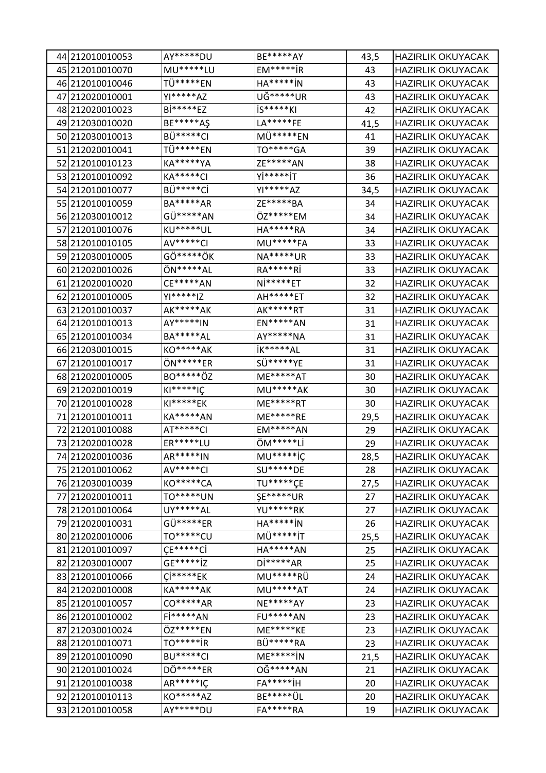| 44 212010010053 | AY*****DU        | <b>BE*****AY</b> | 43,5 | <b>HAZIRLIK OKUYACAK</b> |
|-----------------|------------------|------------------|------|--------------------------|
| 45 212010010070 | MU*****LU        | $EM****iR$       | 43   | <b>HAZIRLIK OKUYACAK</b> |
| 46 212010010046 | TÜ*****EN        | $HA****IN$       | 43   | <b>HAZIRLIK OKUYACAK</b> |
| 47 212020010001 | YI*****AZ        | UĞ*****UR        | 43   | <b>HAZIRLIK OKUYACAK</b> |
| 48 212020010023 | Bi*****EZ        | $IS****KI$       | 42   | <b>HAZIRLIK OKUYACAK</b> |
| 49 212030010020 | BE*****AŞ        | LA*****FE        | 41,5 | <b>HAZIRLIK OKUYACAK</b> |
| 50 212030010013 | BÜ*****CI        | MÜ*****EN        | 41   | <b>HAZIRLIK OKUYACAK</b> |
| 51 212020010041 | TÜ*****EN        | TO*****GA        | 39   | <b>HAZIRLIK OKUYACAK</b> |
| 52 212010010123 | <b>KA*****YA</b> | ZE*****AN        | 38   | <b>HAZIRLIK OKUYACAK</b> |
| 53 212010010092 | <b>KA*****CI</b> | Yİ*****İT        | 36   | <b>HAZIRLIK OKUYACAK</b> |
| 54 212010010077 | BÜ*****Cİ        | YI*****AZ        | 34,5 | <b>HAZIRLIK OKUYACAK</b> |
| 55 212010010059 | BA*****AR        | ZE*****BA        | 34   | <b>HAZIRLIK OKUYACAK</b> |
| 56 212030010012 | GÜ*****AN        | ÖZ*****EM        | 34   | <b>HAZIRLIK OKUYACAK</b> |
| 57 212010010076 | KU*****UL        | HA*****RA        | 34   | <b>HAZIRLIK OKUYACAK</b> |
| 58 212010010105 | AV*****CI        | <b>MU*****FA</b> | 33   | <b>HAZIRLIK OKUYACAK</b> |
| 59 212030010005 | GÖ*****ÖK        | NA*****UR        | 33   | <b>HAZIRLIK OKUYACAK</b> |
| 60 212020010026 | ÖN*****AL        | RA*****Rİ        | 33   | <b>HAZIRLIK OKUYACAK</b> |
| 61 212020010020 | CE*****AN        | $Ni****ET$       | 32   | <b>HAZIRLIK OKUYACAK</b> |
| 62 212010010005 | YI*****IZ        | AH*****ET        | 32   | <b>HAZIRLIK OKUYACAK</b> |
| 63 212010010037 | AK*****AK        | AK*****RT        | 31   | <b>HAZIRLIK OKUYACAK</b> |
| 64 212010010013 | AY*****IN        | <b>EN*****AN</b> | 31   | <b>HAZIRLIK OKUYACAK</b> |
| 65 212010010034 | BA*****AL        | AY*****NA        | 31   | <b>HAZIRLIK OKUYACAK</b> |
| 66 212030010015 | KO*****AK        | <b>İK*****AL</b> | 31   | <b>HAZIRLIK OKUYACAK</b> |
| 67 212010010017 | ÖN*****ER        | SÜ*****YE        | 31   | <b>HAZIRLIK OKUYACAK</b> |
| 68 212020010005 | BO*****ÖZ        | ME*****AT        | 30   | <b>HAZIRLIK OKUYACAK</b> |
| 69 212020010019 | $KI****IC$       | <b>MU*****AK</b> | 30   | <b>HAZIRLIK OKUYACAK</b> |
| 70 212010010028 | KI*****EK        | ME*****RT        | 30   | <b>HAZIRLIK OKUYACAK</b> |
| 71 212010010011 | KA*****AN        | ME*****RE        | 29,5 | <b>HAZIRLIK OKUYACAK</b> |
| 72 212010010088 | AT*****CI        | <b>EM*****AN</b> | 29   | <b>HAZIRLIK OKUYACAK</b> |
| 73 212020010028 | ER*****LU        | ÖM*****Lİ        | 29   | <b>HAZIRLIK OKUYACAK</b> |
| 74 212020010036 | AR*****IN        | <b>MU*****iC</b> | 28,5 | <b>HAZIRLIK OKUYACAK</b> |
| 75 212010010062 | AV*****CI        | SU*****DE        | 28   | <b>HAZIRLIK OKUYACAK</b> |
| 76 212030010039 | <b>KO*****CA</b> | TU*****CE        | 27,5 | <b>HAZIRLIK OKUYACAK</b> |
| 77 212020010011 | TO*****UN        | <b>ŞE*****UR</b> | 27   | <b>HAZIRLIK OKUYACAK</b> |
| 78 212010010064 | UY*****AL        | YU*****RK        | 27   | <b>HAZIRLIK OKUYACAK</b> |
| 79 212020010031 | GÜ*****ER        | HA****** N       | 26   | <b>HAZIRLIK OKUYACAK</b> |
| 80 212020010006 | TO******CU       | MÜ*****iT        | 25,5 | <b>HAZIRLIK OKUYACAK</b> |
| 81 212010010097 | $CE****CI$       | HA*****AN        | 25   | <b>HAZIRLIK OKUYACAK</b> |
| 82 212030010007 | GE*****iZ        | $Di****AR$       | 25   | <b>HAZIRLIK OKUYACAK</b> |
| 83 212010010066 | $C1****EK$       | MU*****RÜ        | 24   | <b>HAZIRLIK OKUYACAK</b> |
| 84 212020010008 | KA*****AK        | <b>MU*****AT</b> | 24   | <b>HAZIRLIK OKUYACAK</b> |
| 85 212010010057 | CO*****AR        | <b>NE*****AY</b> | 23   | <b>HAZIRLIK OKUYACAK</b> |
| 86 212010010002 | Fi*****AN        | <b>FU*****AN</b> | 23   | <b>HAZIRLIK OKUYACAK</b> |
| 87 212030010024 | ÖZ*****EN        | ME*****KE        | 23   | <b>HAZIRLIK OKUYACAK</b> |
| 88 212010010071 | TO****** jR      | BÜ*****RA        | 23   | <b>HAZIRLIK OKUYACAK</b> |
| 89 212010010090 | <b>BU*****CI</b> | $ME****iN$       | 21,5 | <b>HAZIRLIK OKUYACAK</b> |
| 90 212010010024 | DÖ*****ER        | 0Ğ*****AN        | 21   | <b>HAZIRLIK OKUYACAK</b> |
| 91 212010010038 | $AR****IC$       | $FA****iH$       | 20   | <b>HAZIRLIK OKUYACAK</b> |
| 92 212010010113 | KO*****AZ        | BE***** ÜL       | 20   | <b>HAZIRLIK OKUYACAK</b> |
| 93 212010010058 | AY*****DU        | FA*****RA        | 19   | <b>HAZIRLIK OKUYACAK</b> |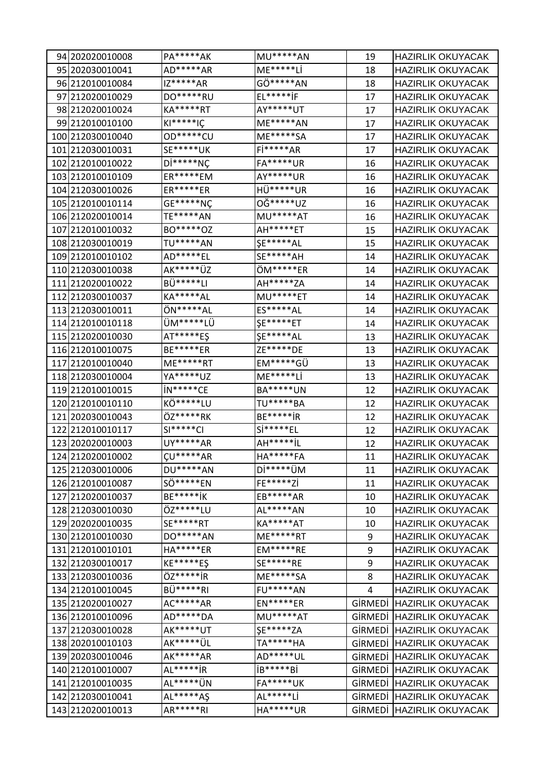| 94 202020010008  | PA*****AK        | MU*****AN                  | 19      | <b>HAZIRLIK OKUYACAK</b> |
|------------------|------------------|----------------------------|---------|--------------------------|
| 95 202030010041  | AD*****AR        | ME*****Lİ                  | 18      | <b>HAZIRLIK OKUYACAK</b> |
| 96 212010010084  | $IZ****AR$       | GÖ*****AN                  | 18      | <b>HAZIRLIK OKUYACAK</b> |
| 97 212020010029  | DO*****RU        | $EL****iF$                 | 17      | <b>HAZIRLIK OKUYACAK</b> |
| 98 212020010024  | KA*****RT        | AY*****UT                  | 17      | <b>HAZIRLIK OKUYACAK</b> |
| 99 212010010100  | $KI****IC$       | ME*****AN                  | 17      | <b>HAZIRLIK OKUYACAK</b> |
| 100 212030010040 | OD*****CU        | ME*****SA                  | 17      | <b>HAZIRLIK OKUYACAK</b> |
| 101 212030010031 | SE*****UK        | Fi*****AR                  | 17      | <b>HAZIRLIK OKUYACAK</b> |
| 102 212010010022 | $Di****NC$       | <b>FA*****UR</b>           | 16      | <b>HAZIRLIK OKUYACAK</b> |
| 103 212010010109 | ER*****EM        | AY*****UR                  | 16      | <b>HAZIRLIK OKUYACAK</b> |
| 104 212030010026 | ER*****ER        | HÜ*****UR                  | 16      | <b>HAZIRLIK OKUYACAK</b> |
| 105 212010010114 | GE*****NÇ        | 0Ğ*****UZ                  | 16      | <b>HAZIRLIK OKUYACAK</b> |
| 106 212020010014 | TE*****AN        | MU*****AT                  | 16      | <b>HAZIRLIK OKUYACAK</b> |
| 107 212010010032 | BO*****OZ        | AH*****ET                  | 15      | <b>HAZIRLIK OKUYACAK</b> |
| 108 212030010019 | TU*****AN        | <b>ŞE*****AL</b>           | 15      | <b>HAZIRLIK OKUYACAK</b> |
| 109 212010010102 | AD*****EL        | SE*****AH                  | 14      | <b>HAZIRLIK OKUYACAK</b> |
| 110 212030010038 | AK*****ÜZ        | ÖM*****ER                  | 14      | <b>HAZIRLIK OKUYACAK</b> |
| 111 212020010022 | BÜ*****LI        | AH*****ZA                  | 14      | <b>HAZIRLIK OKUYACAK</b> |
| 112 212030010037 | KA*****AL        | MU*****ET                  | 14      | <b>HAZIRLIK OKUYACAK</b> |
| 113 212030010011 | ÖN*****AL        | ES*****AL                  | 14      | <b>HAZIRLIK OKUYACAK</b> |
| 114 212010010118 | ÜM*****LÜ        | <b>ŞE*****ET</b>           | 14      | <b>HAZIRLIK OKUYACAK</b> |
| 115 212020010030 | AT*****ES        | <b>ŞE*****AL</b>           | 13      | <b>HAZIRLIK OKUYACAK</b> |
| 116 212010010075 | <b>BE*****ER</b> | ZE*****DE                  | 13      | <b>HAZIRLIK OKUYACAK</b> |
| 117 212010010040 | ME*****RT        | EM*****GÜ                  | 13      | <b>HAZIRLIK OKUYACAK</b> |
| 118 212030010004 | YA*****UZ        | ME*****Lİ                  | 13      | <b>HAZIRLIK OKUYACAK</b> |
| 119 212010010015 | in*****CE        | BA*****UN                  | 12      | <b>HAZIRLIK OKUYACAK</b> |
| 120 212010010110 | KÖ*****LU        | TU*****BA                  | 12      | <b>HAZIRLIK OKUYACAK</b> |
| 121 202030010043 | ÖZ*****RK        | BE*****iR                  | 12      | <b>HAZIRLIK OKUYACAK</b> |
| 122 212010010117 | $SI****CI$       | $Si****EL$                 | 12      | <b>HAZIRLIK OKUYACAK</b> |
| 123 202020010003 | UY*****AR        | AH*****iL                  | 12      | <b>HAZIRLIK OKUYACAK</b> |
| 124 212020010002 | $CU****AR$       | HA*****FA                  | 11      | <b>HAZIRLIK OKUYACAK</b> |
| 125 212030010006 | DU*****AN        | $Di***$ <sup>****</sup> UM | 11      | <b>HAZIRLIK OKUYACAK</b> |
| 126 212010010087 | SÖ******EN       | FE*****Zİ                  | 11      | <b>HAZIRLIK OKUYACAK</b> |
| 127 212020010037 | <b>BE*****iK</b> | EB*****AR                  | 10      | <b>HAZIRLIK OKUYACAK</b> |
| 128212030010030  | ÖZ*****LU        | AL*****AN                  | 10      | <b>HAZIRLIK OKUYACAK</b> |
| 129 202020010035 | SE*****RT        | KA*****AT                  | 10      | <b>HAZIRLIK OKUYACAK</b> |
| 130 212010010030 | DO*****AN        | ME*****RT                  | 9       | <b>HAZIRLIK OKUYACAK</b> |
| 131 212010010101 | HA*****ER        | $EM****RE$                 | 9       | <b>HAZIRLIK OKUYACAK</b> |
| 132 212030010017 | KE*****ES        | SE*****RE                  | 9       | <b>HAZIRLIK OKUYACAK</b> |
| 133 212030010036 | ÖZ****** jR      | ME*****SA                  | 8       | <b>HAZIRLIK OKUYACAK</b> |
| 134 212010010045 | BÜ*****RI        | <b>FU*****AN</b>           | 4       | <b>HAZIRLIK OKUYACAK</b> |
| 135 212020010027 | AC*****AR        | EN*****ER                  | GİRMEDİ | <b>HAZIRLIK OKUYACAK</b> |
| 136 212010010096 | AD*****DA        | MU*****AT                  | GİRMEDİ | <b>HAZIRLIK OKUYACAK</b> |
| 137 212030010028 | AK*****UT        | <b>ŞE*****ZA</b>           | GİRMEDİ | <b>HAZIRLIK OKUYACAK</b> |
| 138 202010010103 | AK***** ÜL       | TA*****HA                  | GİRMEDİ | <b>HAZIRLIK OKUYACAK</b> |
| 139 202030010046 | AK*****AR        | AD*****UL                  | GİRMEDİ | <b>HAZIRLIK OKUYACAK</b> |
| 140 212010010007 | AL*****iR        | iB*****Bi                  | GİRMEDİ | <b>HAZIRLIK OKUYACAK</b> |
| 141 212010010035 | AL***** UN       | <b>FA*****UK</b>           | GİRMEDİ | <b>HAZIRLIK OKUYACAK</b> |
| 142 212030010041 | AL*****A\$       | AL*****Lİ                  | GİRMEDİ | <b>HAZIRLIK OKUYACAK</b> |
| 143 212020010013 | AR*****RI        | HA*****UR                  | GİRMEDİ | <b>HAZIRLIK OKUYACAK</b> |
|                  |                  |                            |         |                          |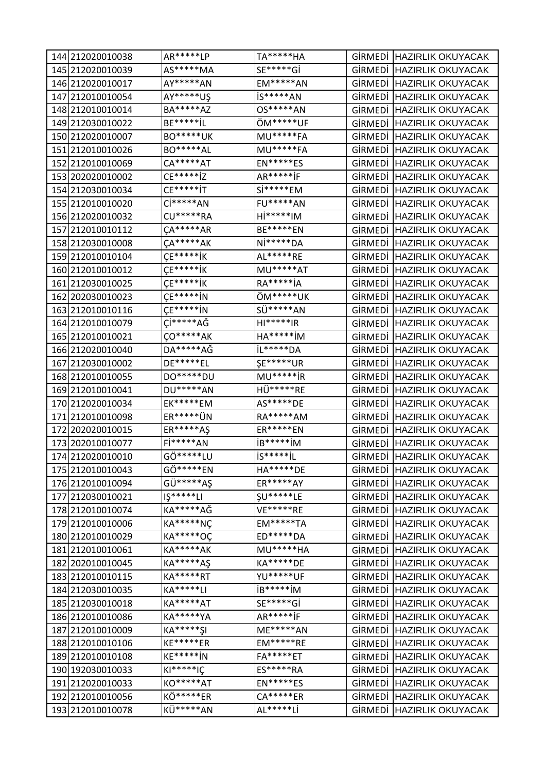| 144 212020010038 | AR*****LP                   | TA*****HA        |         | GİRMEDİ HAZIRLIK OKUYACAK |
|------------------|-----------------------------|------------------|---------|---------------------------|
| 145 212020010039 | AS*****MA                   | SE*****Gİ        | GİRMEDİ | <b>HAZIRLIK OKUYACAK</b>  |
| 146 212020010017 | AY*****AN                   | <b>EM*****AN</b> | GİRMEDİ | <b>HAZIRLIK OKUYACAK</b>  |
| 147 212010010054 | AY*****U\$                  | iS*****AN        | GİRMEDİ | <b>HAZIRLIK OKUYACAK</b>  |
| 148 212010010014 | BA*****AZ                   | OS*****AN        | GİRMEDİ | <b>HAZIRLIK OKUYACAK</b>  |
| 149 212030010022 | BE*****iL                   | ÖM*****UF        | GİRMEDİ | <b>HAZIRLIK OKUYACAK</b>  |
| 150 212020010007 | <b>BO*****UK</b>            | <b>MU*****FA</b> | GİRMEDİ | <b>HAZIRLIK OKUYACAK</b>  |
| 151 212010010026 | BO*****AL                   | MU*****FA        | GİRMEDİ | <b>HAZIRLIK OKUYACAK</b>  |
| 152 212010010069 | $CA****AT$                  | $EN****ES$       | GİRMEDİ | <b>HAZIRLIK OKUYACAK</b>  |
| 153 202020010002 | $CE****iZ$                  | AR*****iF        | GİRMEDİ | <b>HAZIRLIK OKUYACAK</b>  |
| 154 212030010034 | $CE****iT$                  | Si*****EM        | GİRMEDİ | <b>HAZIRLIK OKUYACAK</b>  |
| 155 212010010020 | $\mathsf{C}$ i * * * * * AN | <b>FU*****AN</b> | GİRMEDİ | <b>HAZIRLIK OKUYACAK</b>  |
| 156 212020010032 | <b>CU*****RA</b>            | $Hi****IM$       | GİRMEDİ | <b>HAZIRLIK OKUYACAK</b>  |
| 157 212010010112 | $CA****AR$                  | <b>BE*****EN</b> | GİRMEDİ | <b>HAZIRLIK OKUYACAK</b>  |
| 158 212030010008 | $CA****AK$                  | Ni*****DA        | GİRMEDİ | <b>HAZIRLIK OKUYACAK</b>  |
| 159 212010010104 | $CE****iK$                  | AL*****RE        | GİRMEDİ | <b>HAZIRLIK OKUYACAK</b>  |
| 160 212010010012 | $CE****iK$                  | MU*****AT        | GİRMEDİ | <b>HAZIRLIK OKUYACAK</b>  |
| 161 212030010025 | $\mathsf{CE^{****}}$        | RA****** jA      | GİRMEDİ | <b>HAZIRLIK OKUYACAK</b>  |
| 162 202030010023 | $CE****iN$                  | ÖM*****UK        | GİRMEDİ | <b>HAZIRLIK OKUYACAK</b>  |
| 163 212010010116 | $\mathsf{CE^{****}iN}$      | SÜ*****AN        | GİRMEDİ | <b>HAZIRLIK OKUYACAK</b>  |
| 164 212010010079 | Çİ*****AĞ                   | $H1****IR$       | GİRMEDİ | <b>HAZIRLIK OKUYACAK</b>  |
| 165 212010010021 | $\zeta$ O*****AK            | $HA****iM$       | GİRMEDİ | <b>HAZIRLIK OKUYACAK</b>  |
| 166 212020010040 | DA*****AĞ                   | iL*****DA        | GİRMEDİ | <b>HAZIRLIK OKUYACAK</b>  |
| 167 212030010002 | DE*****EL                   | <b>ŞE*****UR</b> | GİRMEDİ | <b>HAZIRLIK OKUYACAK</b>  |
| 168 212010010055 | DO*****DU                   | MU*****iR        | GİRMEDİ | <b>HAZIRLIK OKUYACAK</b>  |
| 169 212010010041 | DU*****AN                   | HÜ*****RE        | GİRMEDİ | <b>HAZIRLIK OKUYACAK</b>  |
| 170 212020010034 | EK*****EM                   | AS*****DE        | GİRMEDİ | <b>HAZIRLIK OKUYACAK</b>  |
| 171 212010010098 | ER***** UN                  | RA*****AM        | GİRMEDİ | <b>HAZIRLIK OKUYACAK</b>  |
| 172 202020010015 | ER*****A\$                  | <b>ER*****EN</b> | GİRMEDİ | <b>HAZIRLIK OKUYACAK</b>  |
| 173 202010010077 | Fi*****AN                   | iB*****iM        | GIRMEDI | <b>HAZIRLIK OKUYACAK</b>  |
| 174 212020010010 | GÖ*****LU                   | $IS****iL$       |         | GİRMEDİ HAZIRLIK OKUYACAK |
| 175 212010010043 | GÖ*****EN                   | HA*****DE        | GİRMEDİ | <b>HAZIRLIK OKUYACAK</b>  |
| 176 212010010094 | GÜ*****AŞ                   | ER*****AY        | GİRMEDİ | <b>HAZIRLIK OKUYACAK</b>  |
| 177 212030010021 | $I5****LI$                  | <b>ŞU*****LE</b> | GİRMEDİ | <b>HAZIRLIK OKUYACAK</b>  |
| 178 212010010074 | KA*****AĞ                   | VE*****RE        | GİRMEDİ | <b>HAZIRLIK OKUYACAK</b>  |
| 179 212010010006 | <b>KA*****NÇ</b>            | <b>EM*****TA</b> | GİRMEDİ | <b>HAZIRLIK OKUYACAK</b>  |
| 180 212010010029 | KA*****OC                   | ED*****DA        | GİRMEDİ | <b>HAZIRLIK OKUYACAK</b>  |
| 181 212010010061 | KA*****AK                   | MU*****HA        | GİRMEDİ | <b>HAZIRLIK OKUYACAK</b>  |
| 182 202010010045 | <b>KA*****AS</b>            | KA*****DE        | GİRMEDİ | <b>HAZIRLIK OKUYACAK</b>  |
| 183 212010010115 | KA*****RT                   | YU*****UF        | GİRMEDİ | <b>HAZIRLIK OKUYACAK</b>  |
| 184 212030010035 | KA*****LI                   | iB*****iM        | GİRMEDİ | <b>HAZIRLIK OKUYACAK</b>  |
| 185 212030010018 | <b>KA*****AT</b>            | SE*****Gİ        | GİRMEDİ | <b>HAZIRLIK OKUYACAK</b>  |
| 186 212010010086 | <b>KA*****YA</b>            | AR*****iF        | GİRMEDİ | <b>HAZIRLIK OKUYACAK</b>  |
| 187 212010010009 | KA*****\$I                  | ME*****AN        | GİRMEDİ | <b>HAZIRLIK OKUYACAK</b>  |
| 188 212010010106 | KE*****ER                   | $EM****RE$       | GİRMEDİ | <b>HAZIRLIK OKUYACAK</b>  |
| 189 212010010108 | KE*****iN                   | FA*****ET        | GİRMEDİ | <b>HAZIRLIK OKUYACAK</b>  |
| 190 192030010033 | $KI****IC$                  | ES*****RA        | GİRMEDİ | <b>HAZIRLIK OKUYACAK</b>  |
| 191 212020010033 | KO*****AT                   | <b>EN*****ES</b> | GİRMEDİ | <b>HAZIRLIK OKUYACAK</b>  |
| 192 212010010056 | KÖ*****ER                   | CA*****ER        | GİRMEDİ | <b>HAZIRLIK OKUYACAK</b>  |
| 193 212010010078 | KÜ*****AN                   | AL*****Lİ        | GİRMEDİ | <b>HAZIRLIK OKUYACAK</b>  |
|                  |                             |                  |         |                           |